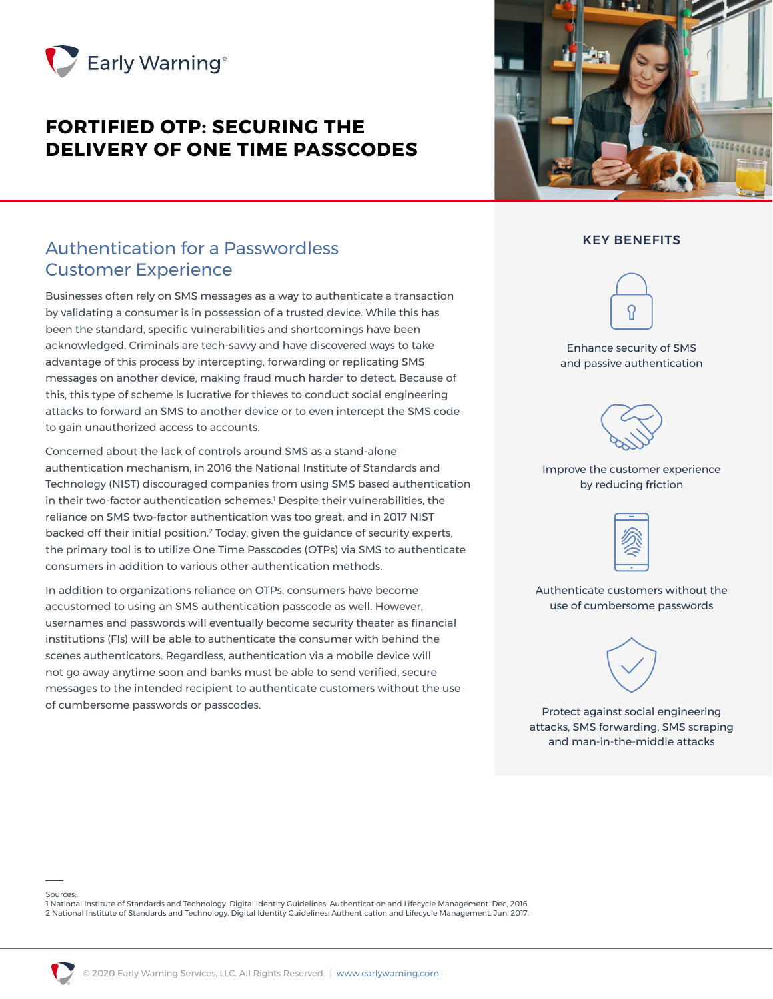

# **FORTIFIED OTP: SECURING THE DELIVERY OF ONE TIME PASSCODES**



#### KEY BENEFITS

# ဂ

Enhance security of SMS and passive authentication



#### Improve the customer experience by reducing friction



Authenticate customers without the use of cumbersome passwords



Protect against social engineering attacks, SMS forwarding, SMS scraping and man-in-the-middle attacks

## Authentication for a Passwordless Customer Experience

Businesses often rely on SMS messages as a way to authenticate a transaction by validating a consumer is in possession of a trusted device. While this has been the standard, specific vulnerabilities and shortcomings have been acknowledged. Criminals are tech-savvy and have discovered ways to take advantage of this process by intercepting, forwarding or replicating SMS messages on another device, making fraud much harder to detect. Because of this, this type of scheme is lucrative for thieves to conduct social engineering attacks to forward an SMS to another device or to even intercept the SMS code to gain unauthorized access to accounts.

Concerned about the lack of controls around SMS as a stand-alone authentication mechanism, in 2016 the National Institute of Standards and Technology (NIST) discouraged companies from using SMS based authentication in their two-factor authentication schemes.1 Despite their vulnerabilities, the reliance on SMS two-factor authentication was too great, and in 2017 NIST backed off their initial position.2 Today, given the guidance of security experts, the primary tool is to utilize One Time Passcodes (OTPs) via SMS to authenticate consumers in addition to various other authentication methods.

In addition to organizations reliance on OTPs, consumers have become accustomed to using an SMS authentication passcode as well. However, usernames and passwords will eventually become security theater as financial institutions (FIs) will be able to authenticate the consumer with behind the scenes authenticators. Regardless, authentication via a mobile device will not go away anytime soon and banks must be able to send verified, secure messages to the intended recipient to authenticate customers without the use of cumbersome passwords or passcodes.

Sources:

1 National Institute of Standards and Technology. Digital Identity Guidelines: Authentication and Lifecycle Management. Dec, 2016. 2 National Institute of Standards and Technology. Digital Identity Guidelines: Authentication and Lifecycle Management. Jun, 2017.